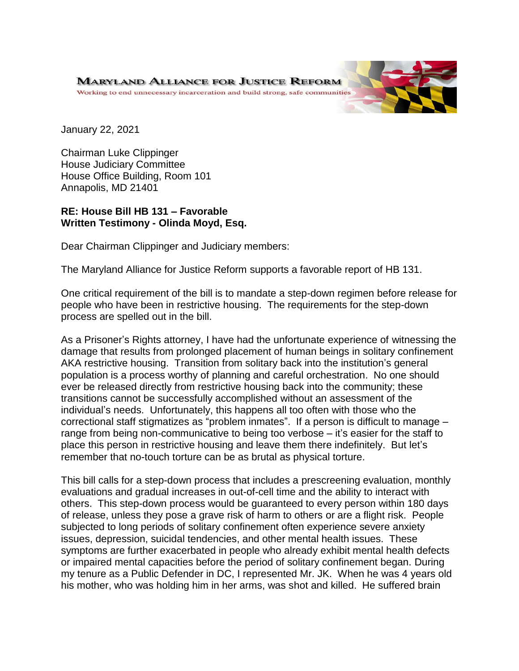January 22, 2021

Chairman Luke Clippinger House Judiciary Committee House Office Building, Room 101 Annapolis, MD 21401

## **RE: House Bill HB 131 – Favorable Written Testimony - Olinda Moyd, Esq.**

Dear Chairman Clippinger and Judiciary members:

The Maryland Alliance for Justice Reform supports a favorable report of HB 131.

One critical requirement of the bill is to mandate a step-down regimen before release for people who have been in restrictive housing. The requirements for the step-down process are spelled out in the bill.

As a Prisoner's Rights attorney, I have had the unfortunate experience of witnessing the damage that results from prolonged placement of human beings in solitary confinement AKA restrictive housing. Transition from solitary back into the institution's general population is a process worthy of planning and careful orchestration. No one should ever be released directly from restrictive housing back into the community; these transitions cannot be successfully accomplished without an assessment of the individual's needs. Unfortunately, this happens all too often with those who the correctional staff stigmatizes as "problem inmates". If a person is difficult to manage – range from being non-communicative to being too verbose – it's easier for the staff to place this person in restrictive housing and leave them there indefinitely. But let's remember that no-touch torture can be as brutal as physical torture.

This bill calls for a step-down process that includes a prescreening evaluation, monthly evaluations and gradual increases in out-of-cell time and the ability to interact with others. This step-down process would be guaranteed to every person within 180 days of release, unless they pose a grave risk of harm to others or are a flight risk. People subjected to long periods of solitary confinement often experience severe anxiety issues, depression, suicidal tendencies, and other mental health issues. These symptoms are further exacerbated in people who already exhibit mental health defects or impaired mental capacities before the period of solitary confinement began. During my tenure as a Public Defender in DC, I represented Mr. JK. When he was 4 years old his mother, who was holding him in her arms, was shot and killed. He suffered brain